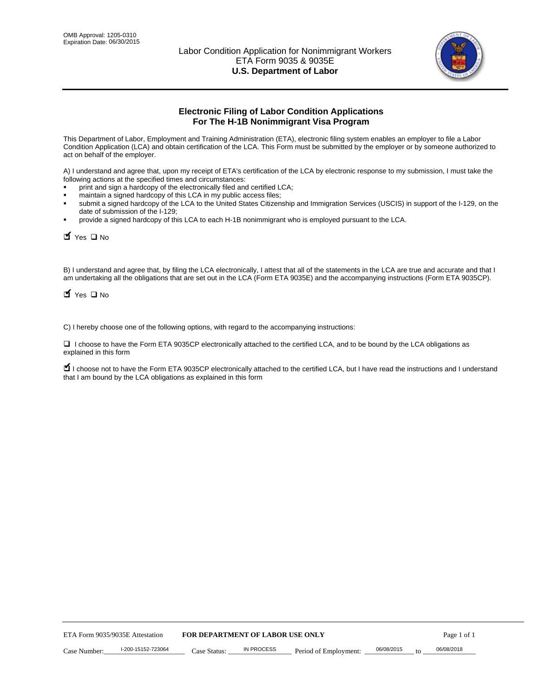

# **Electronic Filing of Labor Condition Applications For The H-1B Nonimmigrant Visa Program**

This Department of Labor, Employment and Training Administration (ETA), electronic filing system enables an employer to file a Labor Condition Application (LCA) and obtain certification of the LCA. This Form must be submitted by the employer or by someone authorized to act on behalf of the employer.

A) I understand and agree that, upon my receipt of ETA's certification of the LCA by electronic response to my submission, I must take the following actions at the specified times and circumstances:

- print and sign a hardcopy of the electronically filed and certified LCA;
- maintain a signed hardcopy of this LCA in my public access files;
- submit a signed hardcopy of the LCA to the United States Citizenship and Immigration Services (USCIS) in support of the I-129, on the date of submission of the I-129;
- provide a signed hardcopy of this LCA to each H-1B nonimmigrant who is employed pursuant to the LCA.

| Yes O No                                                                                                                                                                                                                                                                                                              |              |                                  |                       |                  |             |
|-----------------------------------------------------------------------------------------------------------------------------------------------------------------------------------------------------------------------------------------------------------------------------------------------------------------------|--------------|----------------------------------|-----------------------|------------------|-------------|
| B) I understand and agree that, by filing the LCA electronically, I attest that all of the statements in the LCA are true and accurate and th<br>am undertaking all the obligations that are set out in the LCA (Form ETA 9035E) and the accompanying instructions (Form ETA 9035C<br>$\blacksquare$ Yes $\square$ No |              |                                  |                       |                  |             |
| C) I hereby choose one of the following options, with regard to the accompanying instructions:                                                                                                                                                                                                                        |              |                                  |                       |                  |             |
| □ I choose to have the Form ETA 9035CP electronically attached to the certified LCA, and to be bound by the LCA obligations as<br>explained in this form                                                                                                                                                              |              |                                  |                       |                  |             |
| I choose not to have the Form ETA 9035CP electronically attached to the certified LCA, but I have read the instructions and I unders<br>that I am bound by the LCA obligations as explained in this form                                                                                                              |              |                                  |                       |                  |             |
|                                                                                                                                                                                                                                                                                                                       |              |                                  |                       |                  |             |
|                                                                                                                                                                                                                                                                                                                       |              |                                  |                       |                  |             |
|                                                                                                                                                                                                                                                                                                                       |              |                                  |                       |                  |             |
|                                                                                                                                                                                                                                                                                                                       |              |                                  |                       |                  |             |
|                                                                                                                                                                                                                                                                                                                       |              |                                  |                       |                  |             |
|                                                                                                                                                                                                                                                                                                                       |              |                                  |                       |                  |             |
|                                                                                                                                                                                                                                                                                                                       |              |                                  |                       |                  |             |
|                                                                                                                                                                                                                                                                                                                       |              |                                  |                       |                  |             |
|                                                                                                                                                                                                                                                                                                                       |              |                                  |                       |                  |             |
|                                                                                                                                                                                                                                                                                                                       |              |                                  |                       |                  |             |
| ETA Form 9035/9035E Attestation                                                                                                                                                                                                                                                                                       |              | FOR DEPARTMENT OF LABOR USE ONLY |                       |                  | Page 1 of 1 |
| I-200-15152-723064<br>Case Number:                                                                                                                                                                                                                                                                                    | Case Status: | <b>IN PROCESS</b>                | Period of Employment: | 06/08/2015<br>to | 06/08/2018  |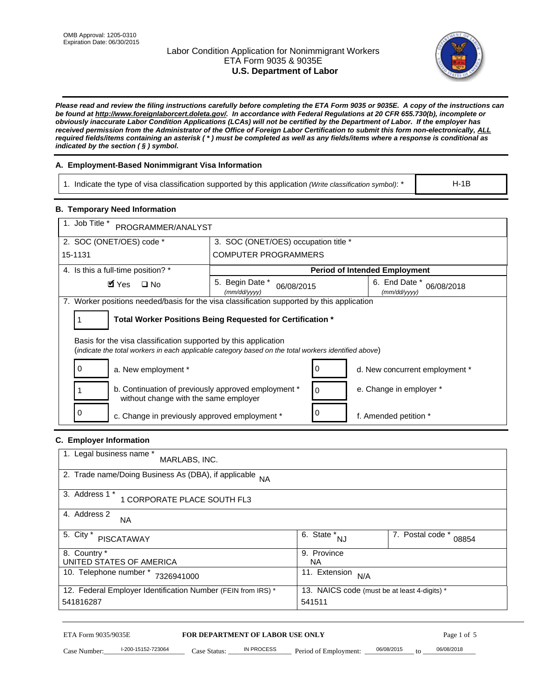# Labor Condition Application for Nonimmigrant Workers ETA Form 9035 & 9035E **U.S. Department of Labor**



*Please read and review the filing instructions carefully before completing the ETA Form 9035 or 9035E. A copy of the instructions can be found at http://www.foreignlaborcert.doleta.gov/. In accordance with Federal Regulations at 20 CFR 655.730(b), incomplete or obviously inaccurate Labor Condition Applications (LCAs) will not be certified by the Department of Labor. If the employer has received permission from the Administrator of the Office of Foreign Labor Certification to submit this form non-electronically, ALL required fields/items containing an asterisk ( \* ) must be completed as well as any fields/items where a response is conditional as indicated by the section ( § ) symbol.* 

# **A. Employment-Based Nonimmigrant Visa Information**

1. Indicate the type of visa classification supported by this application *(Write classification symbol)*: \*

# **B. Temporary Need Information**

| 1. Indicate the type of visa classification supported by this application (Write classification symbol): *                                                              |                                                |                                                 |                                              | $H-1B$                    |
|-------------------------------------------------------------------------------------------------------------------------------------------------------------------------|------------------------------------------------|-------------------------------------------------|----------------------------------------------|---------------------------|
| <b>B. Temporary Need Information</b>                                                                                                                                    |                                                |                                                 |                                              |                           |
| 1. Job Title *<br>PROGRAMMER/ANALYST                                                                                                                                    |                                                |                                                 |                                              |                           |
| 2. SOC (ONET/OES) code *<br>3. SOC (ONET/OES) occupation title *                                                                                                        |                                                |                                                 |                                              |                           |
| 15-1131                                                                                                                                                                 | <b>COMPUTER PROGRAMMERS</b>                    |                                                 |                                              |                           |
| 4. Is this a full-time position? *                                                                                                                                      |                                                |                                                 | <b>Period of Intended Employment</b>         |                           |
| $\blacksquare$ Yes<br>$\square$ No                                                                                                                                      | 5. Begin Date *<br>06/08/2015<br>(mm/dd/yyyy)  |                                                 | 6. End Date *<br>(mm/dd/yyyy)                | 06/08/2018                |
| 7. Worker positions needed/basis for the visa classification supported by this application                                                                              |                                                |                                                 |                                              |                           |
| Total Worker Positions Being Requested for Certification *<br>1                                                                                                         |                                                |                                                 |                                              |                           |
| Basis for the visa classification supported by this application<br>(indicate the total workers in each applicable category based on the total workers identified above) |                                                |                                                 |                                              |                           |
| 0<br>a. New employment *                                                                                                                                                |                                                | 0                                               | d. New concurrent employment *               |                           |
| b. Continuation of previously approved employment *<br>without change with the same employer                                                                            |                                                | 0                                               | e. Change in employer *                      |                           |
| 0<br>c. Change in previously approved employment *                                                                                                                      |                                                | 0                                               | f. Amended petition *                        |                           |
| C. Employer Information                                                                                                                                                 |                                                |                                                 |                                              |                           |
| 1. Legal business name *<br>MARLABS, INC.                                                                                                                               |                                                |                                                 |                                              |                           |
| 2. Trade name/Doing Business As (DBA), if applicable NA                                                                                                                 |                                                |                                                 |                                              |                           |
| 3. Address 1 *<br>1 CORPORATE PLACE SOUTH FL3                                                                                                                           |                                                |                                                 |                                              |                           |
| 4. Address 2<br>NA.                                                                                                                                                     |                                                |                                                 |                                              |                           |
| 5. City *<br><b>PISCATAWAY</b>                                                                                                                                          |                                                | $\overline{6. \quad \text{State}}^*_{\quad NJ}$ |                                              | 7. Postal code *<br>08854 |
| 8. Country *<br>UNITED STATES OF AMERICA                                                                                                                                |                                                | 9. Province<br><b>NA</b>                        |                                              |                           |
| 10. Telephone number * 7326941000                                                                                                                                       |                                                | 11. Extension $N/A$                             |                                              |                           |
| 12. Federal Employer Identification Number (FEIN from IRS) *<br>541816287                                                                                               |                                                | 541511                                          | 13. NAICS code (must be at least 4-digits) * |                           |
|                                                                                                                                                                         |                                                |                                                 |                                              |                           |
| ETA Form 9035/9035E<br>I-200-15152-723064<br>Case Number:<br>$Case$ Statue                                                                                              | FOR DEPARTMENT OF LABOR USE ONLY<br>IN PROCESS | Period of Employment:                           | 06/08/2015                                   | Page 1 of 5<br>06/08/2018 |

# **C. Employer Information**

| 1. Legal business name *<br>MARLABS, INC.                    |                                              |                           |
|--------------------------------------------------------------|----------------------------------------------|---------------------------|
| 2. Trade name/Doing Business As (DBA), if applicable NA      |                                              |                           |
| 3. Address 1 *<br>1 CORPORATE PLACE SOUTH FL3                |                                              |                           |
| 4. Address 2<br><b>NA</b>                                    |                                              |                           |
| 5. City *<br><b>PISCATAWAY</b>                               | 6. State *<br><b>NJ</b>                      | 7. Postal code *<br>08854 |
| 8. Country *                                                 | 9. Province                                  |                           |
| UNITED STATES OF AMERICA                                     | NA.                                          |                           |
| 10. Telephone number *<br>7326941000                         | 11. Extension<br>N/A                         |                           |
| 12. Federal Employer Identification Number (FEIN from IRS) * | 13. NAICS code (must be at least 4-digits) * |                           |
| 541816287                                                    | 541511                                       |                           |

# ETA Form 9035/9035E **FOR DEPARTMENT OF LABOR USE ONLY** Page 1 of 5<br>Case Number: 1-200-15152-723064 Case Status: IN PROCESS Period of Employment: 06/08/2015 to 06/08/2018

Case Number: 1-200-15152-723064 Case Status: IN PROCESS Period of Employment: 06/08/2015 to 06/08/2018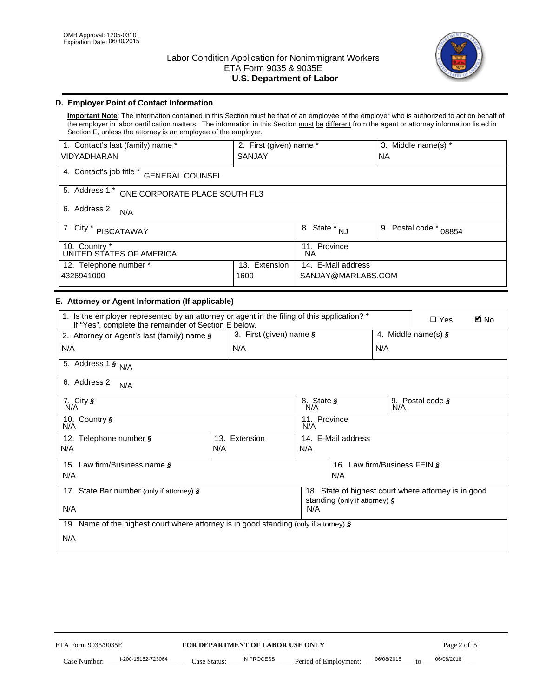

# **D. Employer Point of Contact Information**

**Important Note**: The information contained in this Section must be that of an employee of the employer who is authorized to act on behalf of the employer in labor certification matters. The information in this Section must be different from the agent or attorney information listed in Section E, unless the attorney is an employee of the employer.

| 1. Contact's last (family) name *                  | 2. First (given) name * |                                  | 3. Middle name(s) *       |  |  |
|----------------------------------------------------|-------------------------|----------------------------------|---------------------------|--|--|
| <b>VIDYADHARAN</b>                                 | <b>SANJAY</b>           |                                  | <b>NA</b>                 |  |  |
| 4. Contact's job title *<br><b>GENERAL COUNSEL</b> |                         |                                  |                           |  |  |
| 5. Address 1 *<br>ONE CORPORATE PLACE SOUTH FL3    |                         |                                  |                           |  |  |
| 6. Address 2<br>N/A                                |                         |                                  |                           |  |  |
| 7. City $*$<br><b>PISCATAWAY</b>                   |                         | $\overline{8}$ . State $*$<br>NJ | 9. Postal code *<br>08854 |  |  |
| 10. Country *<br>UNITED STATES OF AMERICA          |                         | 11. Province<br>ΝA               |                           |  |  |
| Extension<br>12. Telephone number *<br>13.         |                         | 14. E-Mail address               |                           |  |  |
| 4326941000<br>1600                                 |                         | SANJAY@MARLABS.COM               |                           |  |  |

# **E. Attorney or Agent Information (If applicable)**

| VIDYADHARAN                                                                                                                                         | SANJAY                           |                           |                                          | <b>NA</b>        |                                                      |             |
|-----------------------------------------------------------------------------------------------------------------------------------------------------|----------------------------------|---------------------------|------------------------------------------|------------------|------------------------------------------------------|-------------|
| 4. Contact's job title * GENERAL COUNSEL                                                                                                            |                                  |                           |                                          |                  |                                                      |             |
| 5. Address 1 * ONE CORPORATE PLACE SOUTH FL3                                                                                                        |                                  |                           |                                          |                  |                                                      |             |
| 6. Address 2<br>N/A                                                                                                                                 |                                  |                           |                                          |                  |                                                      |             |
| 7. City * PISCATAWAY                                                                                                                                |                                  | 8. State $*_{NJ}$         |                                          | 9. Postal code * | 08854                                                |             |
| 10. Country *<br>UNITED STATES OF AMERICA                                                                                                           |                                  | 11. Province<br><b>NA</b> |                                          |                  |                                                      |             |
| 12. Telephone number *<br>4326941000                                                                                                                | 13. Extension<br>1600            |                           | 14. E-Mail address<br>SANJAY@MARLABS.COM |                  |                                                      |             |
| E. Attorney or Agent Information (If applicable)                                                                                                    |                                  |                           |                                          |                  |                                                      |             |
| 1. Is the employer represented by an attorney or agent in the filing of this application? *<br>If "Yes", complete the remainder of Section E below. |                                  |                           |                                          |                  | $\Box$ Yes                                           | <b>A</b> No |
| 2. Attorney or Agent's last (family) name §                                                                                                         | 3. First (given) name §          |                           |                                          |                  | 4. Middle name(s) $\sqrt{s}$                         |             |
| N/A                                                                                                                                                 | N/A                              |                           |                                          | N/A              |                                                      |             |
| 5. Address 1 $\frac{1}{9}$ N/A                                                                                                                      |                                  |                           |                                          |                  |                                                      |             |
| 6. Address 2<br>N/A                                                                                                                                 |                                  |                           |                                          |                  |                                                      |             |
| 7. City §<br>N/A                                                                                                                                    |                                  | 8. State §<br>N/A         |                                          |                  | 9. Postal code §                                     |             |
| 10. Country §<br>N/A                                                                                                                                |                                  | 11. Province<br>N/A       |                                          |                  |                                                      |             |
| 12. Telephone number §                                                                                                                              | 13. Extension                    | 14. E-Mail address        |                                          |                  |                                                      |             |
| N/A                                                                                                                                                 | N/A                              | N/A                       |                                          |                  |                                                      |             |
| 15. Law firm/Business name §                                                                                                                        |                                  |                           | 16. Law firm/Business FEIN §             |                  |                                                      |             |
| N/A                                                                                                                                                 |                                  |                           | N/A                                      |                  |                                                      |             |
| 17. State Bar number (only if attorney) §                                                                                                           |                                  |                           | standing (only if attorney) §            |                  | 18. State of highest court where attorney is in good |             |
| N/A                                                                                                                                                 |                                  | N/A                       |                                          |                  |                                                      |             |
| 19. Name of the highest court where attorney is in good standing (only if attorney) §                                                               |                                  |                           |                                          |                  |                                                      |             |
| N/A                                                                                                                                                 |                                  |                           |                                          |                  |                                                      |             |
|                                                                                                                                                     |                                  |                           |                                          |                  |                                                      |             |
|                                                                                                                                                     |                                  |                           |                                          |                  |                                                      |             |
|                                                                                                                                                     |                                  |                           |                                          |                  |                                                      |             |
|                                                                                                                                                     |                                  |                           |                                          |                  |                                                      |             |
|                                                                                                                                                     |                                  |                           |                                          |                  |                                                      |             |
|                                                                                                                                                     |                                  |                           |                                          |                  |                                                      |             |
|                                                                                                                                                     |                                  |                           |                                          |                  |                                                      |             |
| ETA Form 9035/9035E                                                                                                                                 | FOR DEPARTMENT OF LABOR USE ONLY |                           |                                          |                  | Page 2 of 5                                          |             |
| I-200-15152-723064                                                                                                                                  | <b>IN PROCESS</b>                |                           |                                          | 06/08/2015       | 06/08/2018                                           |             |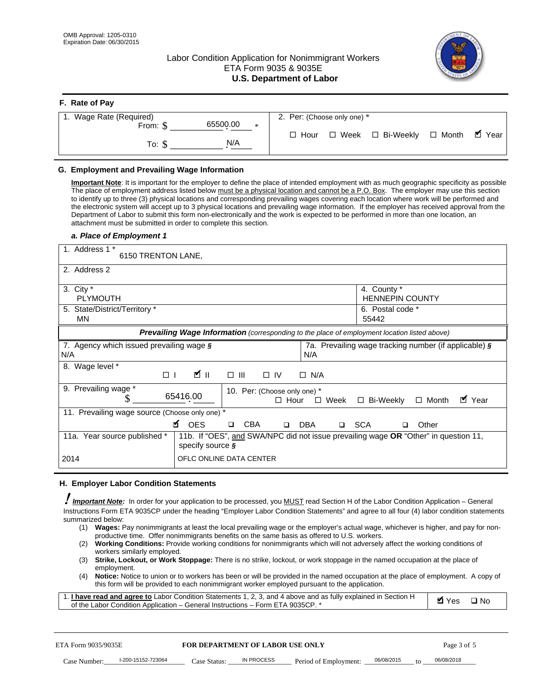# Labor Condition Application for Nonimmigrant Workers ETA Form 9035 & 9035E **U.S. Department of Labor**



| F. Rate of Pay              |                                          |
|-----------------------------|------------------------------------------|
| 1. Wage Rate (Required)     | 2. Per: (Choose only one) *              |
| 65500.00<br>From: \$<br>$*$ |                                          |
| N/A<br>To: \$               | □ Hour □ Week □ Bi-Weekly □ Month ■ Year |

## **G. Employment and Prevailing Wage Information**

#### *a. Place of Employment 1*

| From: \$                                                                                                                                                                                                                                                                                                                                                                                                                                                                          | 65500.00<br>$\ast$                                                                                                                                                                                                                                                                                                                                           | $\Box$ Hour                                                   | $\Box$ Week<br>□ Bi-Weekly                            | $\blacksquare$ Year<br>$\Box$ Month |  |
|-----------------------------------------------------------------------------------------------------------------------------------------------------------------------------------------------------------------------------------------------------------------------------------------------------------------------------------------------------------------------------------------------------------------------------------------------------------------------------------|--------------------------------------------------------------------------------------------------------------------------------------------------------------------------------------------------------------------------------------------------------------------------------------------------------------------------------------------------------------|---------------------------------------------------------------|-------------------------------------------------------|-------------------------------------|--|
| To: $$$                                                                                                                                                                                                                                                                                                                                                                                                                                                                           | N/A                                                                                                                                                                                                                                                                                                                                                          |                                                               |                                                       |                                     |  |
| G. Employment and Prevailing Wage Information<br>Important Note: It is important for the employer to define the place of intended employment with as much geographic specificity as possible<br>The place of employment address listed below must be a physical location and cannot be a P.O. Box. The employer may use this section<br>to identify up to three (3) physical locations and corresponding prevailing wages covering each location where work will be performed and |                                                                                                                                                                                                                                                                                                                                                              |                                                               |                                                       |                                     |  |
| the electronic system will accept up to 3 physical locations and prevailing wage information. If the employer has received approval from the<br>Department of Labor to submit this form non-electronically and the work is expected to be performed in more than one location, an<br>attachment must be submitted in order to complete this section.<br>a. Place of Employment 1                                                                                                  |                                                                                                                                                                                                                                                                                                                                                              |                                                               |                                                       |                                     |  |
| 1. Address 1 *<br>6150 TRENTON LANE,                                                                                                                                                                                                                                                                                                                                                                                                                                              |                                                                                                                                                                                                                                                                                                                                                              |                                                               |                                                       |                                     |  |
| 2. Address 2                                                                                                                                                                                                                                                                                                                                                                                                                                                                      |                                                                                                                                                                                                                                                                                                                                                              |                                                               |                                                       |                                     |  |
| 3. City $*$<br><b>PLYMOUTH</b>                                                                                                                                                                                                                                                                                                                                                                                                                                                    |                                                                                                                                                                                                                                                                                                                                                              |                                                               | 4. County *<br><b>HENNEPIN COUNTY</b>                 |                                     |  |
| 5. State/District/Territory *<br>MN                                                                                                                                                                                                                                                                                                                                                                                                                                               |                                                                                                                                                                                                                                                                                                                                                              |                                                               | 6. Postal code *<br>55442                             |                                     |  |
|                                                                                                                                                                                                                                                                                                                                                                                                                                                                                   | Prevailing Wage Information (corresponding to the place of employment location listed above)                                                                                                                                                                                                                                                                 |                                                               |                                                       |                                     |  |
| 7. Agency which issued prevailing wage §<br>N/A                                                                                                                                                                                                                                                                                                                                                                                                                                   |                                                                                                                                                                                                                                                                                                                                                              | N/A                                                           | 7a. Prevailing wage tracking number (if applicable) § |                                     |  |
| 8. Wage level *<br>$\Box$                                                                                                                                                                                                                                                                                                                                                                                                                                                         | <b>M</b><br>$\Box$<br>III                                                                                                                                                                                                                                                                                                                                    | $\Box$ IV<br>$\Box$ N/A                                       |                                                       |                                     |  |
| 9. Prevailing wage *<br>\$                                                                                                                                                                                                                                                                                                                                                                                                                                                        | 65416.00                                                                                                                                                                                                                                                                                                                                                     | 10. Per: (Choose only one) *<br>$\Box$ Hour<br>$\square$ Week | □ Bi-Weekly                                           | ■ Year<br>$\Box$ Month              |  |
| 11. Prevailing wage source (Choose only one) *                                                                                                                                                                                                                                                                                                                                                                                                                                    | <b>¤</b> OES<br><b>CBA</b>                                                                                                                                                                                                                                                                                                                                   | <b>DBA</b><br>$\Box$                                          | □ SCA                                                 | Other                               |  |
| 11a. Year source published *                                                                                                                                                                                                                                                                                                                                                                                                                                                      | 11b. If "OES", and SWA/NPC did not issue prevailing wage OR "Other" in question 11,<br>specify source $\boldsymbol{\S}$                                                                                                                                                                                                                                      |                                                               |                                                       |                                     |  |
| 2014                                                                                                                                                                                                                                                                                                                                                                                                                                                                              | OFLC ONLINE DATA CENTER                                                                                                                                                                                                                                                                                                                                      |                                                               |                                                       |                                     |  |
| H. Employer Labor Condition Statements                                                                                                                                                                                                                                                                                                                                                                                                                                            |                                                                                                                                                                                                                                                                                                                                                              |                                                               |                                                       |                                     |  |
| I Important Note: In order for your application to be processed, you MUST read Section H of the Labor Condition Application – General<br>Instructions Form ETA 9035CP under the heading "Employer Labor Condition Statements" and agree to all four (4) labor condition statements<br>summarized below:                                                                                                                                                                           | (1) Wages: Pay nonimmigrants at least the local prevailing wage or the employer's actual wage, whichever is higher, and pay for non-                                                                                                                                                                                                                         |                                                               |                                                       |                                     |  |
| (2)<br>workers similarly employed.                                                                                                                                                                                                                                                                                                                                                                                                                                                | productive time. Offer nonimmigrants benefits on the same basis as offered to U.S. workers.<br>Working Conditions: Provide working conditions for nonimmigrants which will not adversely affect the working conditions of                                                                                                                                    |                                                               |                                                       |                                     |  |
| (3)<br>employment.<br>(4)                                                                                                                                                                                                                                                                                                                                                                                                                                                         | Strike, Lockout, or Work Stoppage: There is no strike, lockout, or work stoppage in the named occupation at the place of<br>Notice: Notice to union or to workers has been or will be provided in the named occupation at the place of employment. A copy of<br>this form will be provided to each nonimmigrant worker employed pursuant to the application. |                                                               |                                                       |                                     |  |
| 1. I have read and agree to Labor Condition Statements 1, 2, 3, and 4 above and as fully explained in Section H<br>of the Labor Condition Application - General Instructions - Form ETA 9035CP. *                                                                                                                                                                                                                                                                                 |                                                                                                                                                                                                                                                                                                                                                              |                                                               |                                                       | <b>Ø</b> Yes<br>$\square$ No        |  |
| ETA Form 9035/9035E                                                                                                                                                                                                                                                                                                                                                                                                                                                               | <b>FOR DEPARTMENT OF LABOR USE ONLY</b>                                                                                                                                                                                                                                                                                                                      |                                                               |                                                       | Page 3 of 5                         |  |
| I-200-15152-723064<br>Case Number:                                                                                                                                                                                                                                                                                                                                                                                                                                                | <b>IN PROCESS</b><br>Case Status:                                                                                                                                                                                                                                                                                                                            | Period of Employment:                                         | 06/08/2015                                            | 06/08/2018                          |  |

#### **H. Employer Labor Condition Statements**

- (1) **Wages:** Pay nonimmigrants at least the local prevailing wage or the employer's actual wage, whichever is higher, and pay for nonproductive time. Offer nonimmigrants benefits on the same basis as offered to U.S. workers.
- (2) **Working Conditions:** Provide working conditions for nonimmigrants which will not adversely affect the working conditions of workers similarly employed.
- (3) **Strike, Lockout, or Work Stoppage:** There is no strike, lockout, or work stoppage in the named occupation at the place of employment.
- (4) **Notice:** Notice to union or to workers has been or will be provided in the named occupation at the place of employment. A copy of this form will be provided to each nonimmigrant worker employed pursuant to the application.

| 1. I have read and agree to Labor Condition Statements 1, 2, 3, and 4 above and as fully explained in Section H | Øl Yes | $\Box$ No |
|-----------------------------------------------------------------------------------------------------------------|--------|-----------|
| of the Labor Condition Application – General Instructions – Form ETA 9035CP. *                                  |        |           |

| ETA Form 9035/9035E |                    | <b>FOR DEPARTMENT OF LABOR USE ONLY</b> |            |                       | Page 3 of 5 |                 |            |
|---------------------|--------------------|-----------------------------------------|------------|-----------------------|-------------|-----------------|------------|
| Case Number:        | I-200-15152-723064 | Case Status:                            | IN PROCESS | Period of Employment: | 06/08/2015  | 10 <sup>1</sup> | 06/08/2018 |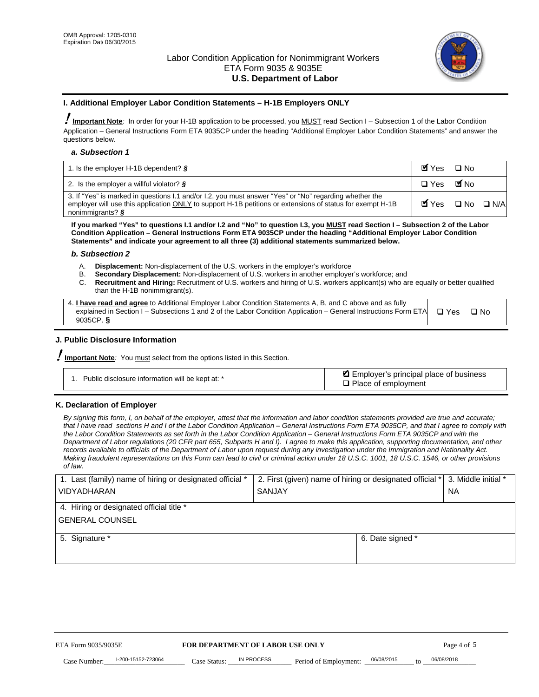

#### **I. Additional Employer Labor Condition Statements – H-1B Employers ONLY**

!**Important Note***:* In order for your H-1B application to be processed, you MUST read Section I – Subsection 1 of the Labor Condition Application – General Instructions Form ETA 9035CP under the heading "Additional Employer Labor Condition Statements" and answer the questions below.

#### *a. Subsection 1*

| 1. Is the employer H-1B dependent? $\S$                                                                                                                                                                                                 | Myes                                          | $\Box$ No              |  |
|-----------------------------------------------------------------------------------------------------------------------------------------------------------------------------------------------------------------------------------------|-----------------------------------------------|------------------------|--|
| 2. Is the employer a willful violator? $\frac{1}{2}$                                                                                                                                                                                    | $\Box$ Yes                                    | <b>M</b> <sub>No</sub> |  |
| 3. If "Yes" is marked in questions 1.1 and/or 1.2, you must answer "Yes" or "No" regarding whether the<br>employer will use this application ONLY to support H-1B petitions or extensions of status for exempt H-1B<br>nonimmigrants? § | $\blacksquare$ Yes $\square$ No $\square$ N/A |                        |  |

**If you marked "Yes" to questions I.1 and/or I.2 and "No" to question I.3, you MUST read Section I – Subsection 2 of the Labor Condition Application – General Instructions Form ETA 9035CP under the heading "Additional Employer Labor Condition Statements" and indicate your agreement to all three (3) additional statements summarized below.** 

#### *b. Subsection 2*

- A. **Displacement:** Non-displacement of the U.S. workers in the employer's workforce
- B. **Secondary Displacement:** Non-displacement of U.S. workers in another employer's workforce; and
- C. **Recruitment and Hiring:** Recruitment of U.S. workers and hiring of U.S. workers applicant(s) who are equally or better qualified than the H-1B nonimmigrant(s).

| 4. I have read and agree to Additional Employer Labor Condition Statements A, B, and C above and as fully                  |      |
|----------------------------------------------------------------------------------------------------------------------------|------|
| explained in Section I – Subsections 1 and 2 of the Labor Condition Application – General Instructions Form ETA $\Box$ Yes | ∩ N∩ |
| 9035CP. $\delta$                                                                                                           |      |

# **J. Public Disclosure Information**

!**Important Note***:* You must select from the options listed in this Section.

| Public disclosure information will be kept at: * | Employer's principal place of business<br>$\Box$ Place of employment |
|--------------------------------------------------|----------------------------------------------------------------------|
|--------------------------------------------------|----------------------------------------------------------------------|

#### **K. Declaration of Employer**

*By signing this form, I, on behalf of the employer, attest that the information and labor condition statements provided are true and accurate;*  that I have read sections H and I of the Labor Condition Application – General Instructions Form ETA 9035CP, and that I agree to comply with *the Labor Condition Statements as set forth in the Labor Condition Application – General Instructions Form ETA 9035CP and with the Department of Labor regulations (20 CFR part 655, Subparts H and I). I agree to make this application, supporting documentation, and other records available to officials of the Department of Labor upon request during any investigation under the Immigration and Nationality Act. Making fraudulent representations on this Form can lead to civil or criminal action under 18 U.S.C. 1001, 18 U.S.C. 1546, or other provisions of law.* 

| 1. Last (family) name of hiring or designated official * | 2. First (given) name of hiring or designated official * |                                               | 3. Middle initial * |
|----------------------------------------------------------|----------------------------------------------------------|-----------------------------------------------|---------------------|
| <b>VIDYADHARAN</b>                                       | <b>SANJAY</b>                                            |                                               | <b>NA</b>           |
| 4. Hiring or designated official title *                 |                                                          |                                               |                     |
| <b>GENERAL COUNSEL</b>                                   |                                                          |                                               |                     |
| 5. Signature *                                           |                                                          | 6. Date signed *                              |                     |
|                                                          |                                                          |                                               |                     |
|                                                          |                                                          |                                               |                     |
|                                                          |                                                          |                                               |                     |
|                                                          |                                                          |                                               |                     |
| ETA Form 9035/9035E                                      | FOR DEPARTMENT OF LABOR USE ONLY                         |                                               | Page 4 of 5         |
| I-200-15152-723064<br>Case Number<br>Case Status:        | IN PROCESS<br>Period of Employment:                      | 06/08/2015<br>06/08/2018<br>$\mathsf{t} \cap$ |                     |